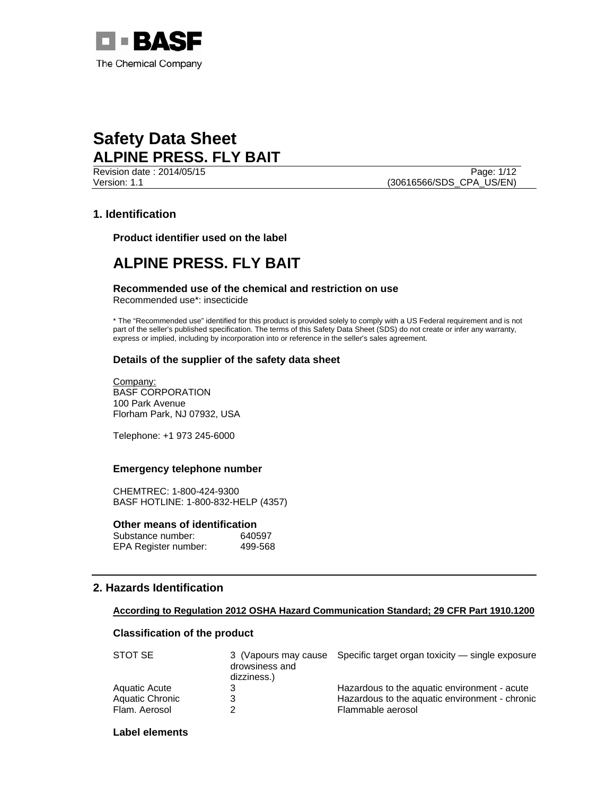

Version: 1.1 (30616566/SDS\_CPA\_US/EN)

**Revision date : 2014/05/15** Page: 1/12

## **1. Identification**

**Product identifier used on the label** 

## **ALPINE PRESS. FLY BAIT**

**Recommended use of the chemical and restriction on use**  Recommended use\*: insecticide

\* The "Recommended use" identified for this product is provided solely to comply with a US Federal requirement and is not part of the seller's published specification. The terms of this Safety Data Sheet (SDS) do not create or infer any warranty, express or implied, including by incorporation into or reference in the seller's sales agreement.

## **Details of the supplier of the safety data sheet**

Company: BASF CORPORATION 100 Park Avenue Florham Park, NJ 07932, USA

Telephone: +1 973 245-6000

## **Emergency telephone number**

CHEMTREC: 1-800-424-9300 BASF HOTLINE: 1-800-832-HELP (4357)

## **Other means of identification**

| Substance number:    | 640597  |
|----------------------|---------|
| EPA Register number: | 499-568 |

## **2. Hazards Identification**

## **According to Regulation 2012 OSHA Hazard Communication Standard; 29 CFR Part 1910.1200**

## **Classification of the product**

| STOT SE         | drowsiness and<br>dizziness.) | 3 (Vapours may cause Specific target organ toxicity — single exposure |
|-----------------|-------------------------------|-----------------------------------------------------------------------|
| Aquatic Acute   |                               | Hazardous to the aquatic environment - acute                          |
| Aquatic Chronic |                               | Hazardous to the aquatic environment - chronic                        |
| Flam. Aerosol   |                               | Flammable aerosol                                                     |

## **Label elements**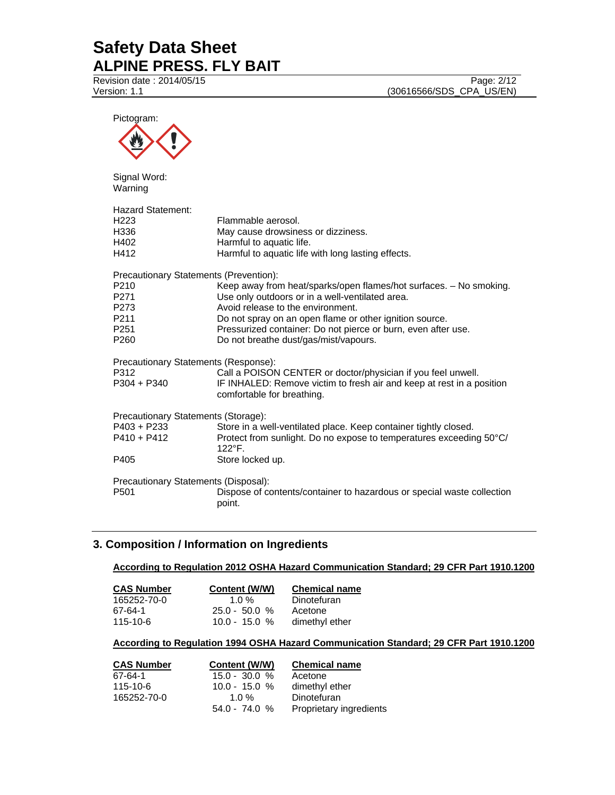**Revision date : 2014/05/15** Page: 2/12 Version: 1.1 (30616566/SDS\_CPA\_US/EN)

| Pictogram:                                                                                                                 |                                                                                                                                                                                                                                                                                                                                 |
|----------------------------------------------------------------------------------------------------------------------------|---------------------------------------------------------------------------------------------------------------------------------------------------------------------------------------------------------------------------------------------------------------------------------------------------------------------------------|
| Signal Word:<br>Warning                                                                                                    |                                                                                                                                                                                                                                                                                                                                 |
| <b>Hazard Statement:</b><br>H <sub>223</sub><br>H336<br>H402<br>H412                                                       | Flammable aerosol.<br>May cause drowsiness or dizziness.<br>Harmful to aquatic life.<br>Harmful to aquatic life with long lasting effects.                                                                                                                                                                                      |
| Precautionary Statements (Prevention):<br>P210<br>P271<br>P273<br>P <sub>211</sub><br>P <sub>251</sub><br>P <sub>260</sub> | Keep away from heat/sparks/open flames/hot surfaces. - No smoking.<br>Use only outdoors or in a well-ventilated area.<br>Avoid release to the environment.<br>Do not spray on an open flame or other ignition source.<br>Pressurized container: Do not pierce or burn, even after use.<br>Do not breathe dust/gas/mist/vapours. |
| Precautionary Statements (Response):<br>P312<br>$P304 + P340$                                                              | Call a POISON CENTER or doctor/physician if you feel unwell.<br>IF INHALED: Remove victim to fresh air and keep at rest in a position<br>comfortable for breathing.                                                                                                                                                             |
| Precautionary Statements (Storage):<br>$P403 + P233$<br>$P410 + P412$<br>P405                                              | Store in a well-ventilated place. Keep container tightly closed.<br>Protect from sunlight. Do no expose to temperatures exceeding 50°C/<br>122°F.<br>Store locked up.                                                                                                                                                           |
| Precautionary Statements (Disposal):<br>P501                                                                               | Dispose of contents/container to hazardous or special waste collection<br>point.                                                                                                                                                                                                                                                |
|                                                                                                                            |                                                                                                                                                                                                                                                                                                                                 |

## **3. Composition / Information on Ingredients**

**According to Regulation 2012 OSHA Hazard Communication Standard; 29 CFR Part 1910.1200**

| <b>CAS Number</b> | Content (W/W)   | <b>Chemical name</b> |
|-------------------|-----------------|----------------------|
| 165252-70-0       | 1 በ %           | Dinotefuran          |
| 67-64-1           | $25.0 - 50.0 %$ | Acetone              |
| 115-10-6          | $10.0 - 15.0 %$ | dimethyl ether       |

## **According to Regulation 1994 OSHA Hazard Communication Standard; 29 CFR Part 1910.1200**

| <b>CAS Number</b> | Content (W/W)   | <b>Chemical name</b>    |
|-------------------|-----------------|-------------------------|
| 67-64-1           | $15.0 - 30.0 %$ | Acetone                 |
| $115 - 10 - 6$    | $10.0 - 15.0 %$ | dimethyl ether          |
| 165252-70-0       | 1.0 $%$         | Dinotefuran             |
|                   | $54.0 - 74.0 %$ | Proprietary ingredients |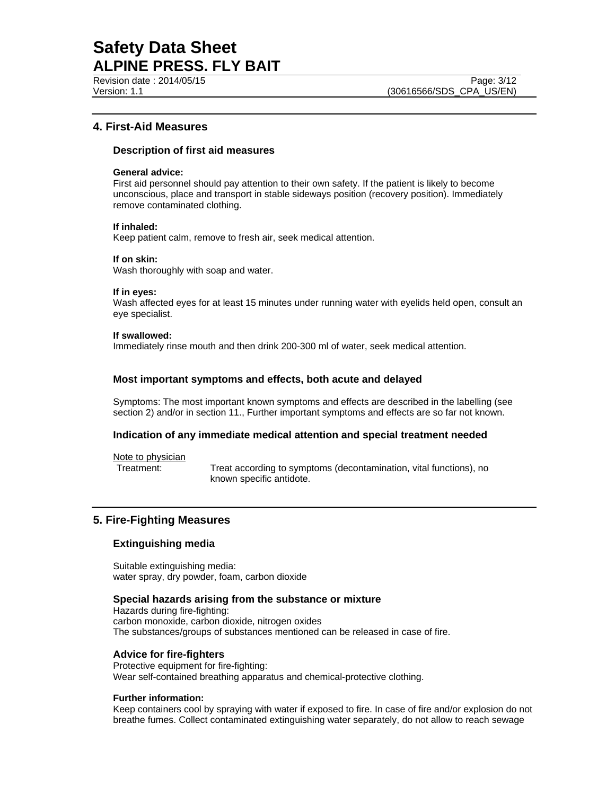## **4. First-Aid Measures**

## **Description of first aid measures**

## **General advice:**

First aid personnel should pay attention to their own safety. If the patient is likely to become unconscious, place and transport in stable sideways position (recovery position). Immediately remove contaminated clothing.

### **If inhaled:**

Keep patient calm, remove to fresh air, seek medical attention.

### **If on skin:**

Wash thoroughly with soap and water.

## **If in eyes:**

Wash affected eyes for at least 15 minutes under running water with eyelids held open, consult an eye specialist.

### **If swallowed:**

Immediately rinse mouth and then drink 200-300 ml of water, seek medical attention.

## **Most important symptoms and effects, both acute and delayed**

Symptoms: The most important known symptoms and effects are described in the labelling (see section 2) and/or in section 11., Further important symptoms and effects are so far not known.

## **Indication of any immediate medical attention and special treatment needed**

Note to physician

Treatment: Treat according to symptoms (decontamination, vital functions), no known specific antidote.

## **5. Fire-Fighting Measures**

## **Extinguishing media**

Suitable extinguishing media: water spray, dry powder, foam, carbon dioxide

## **Special hazards arising from the substance or mixture**

Hazards during fire-fighting: carbon monoxide, carbon dioxide, nitrogen oxides The substances/groups of substances mentioned can be released in case of fire.

## **Advice for fire-fighters**

Protective equipment for fire-fighting: Wear self-contained breathing apparatus and chemical-protective clothing.

## **Further information:**

Keep containers cool by spraying with water if exposed to fire. In case of fire and/or explosion do not breathe fumes. Collect contaminated extinguishing water separately, do not allow to reach sewage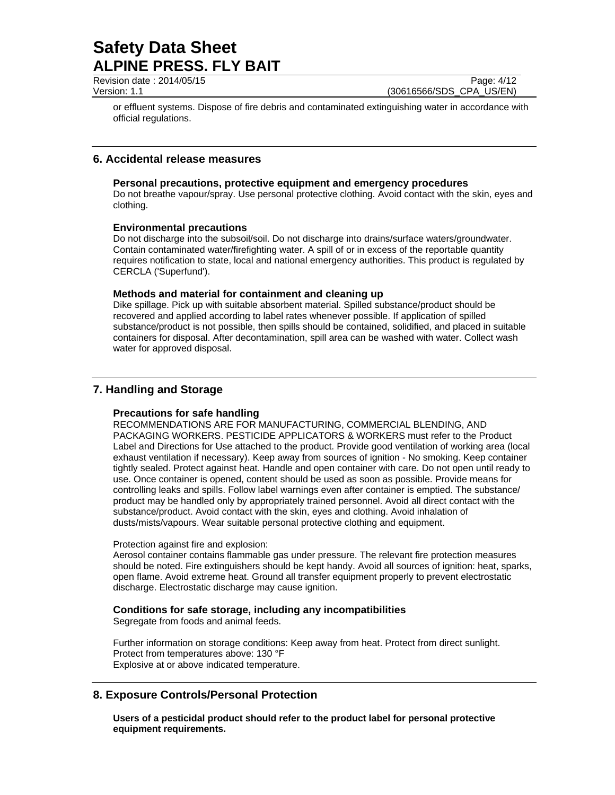Revision date : 2014/05/15 Page: 4/12

Version: 1.1 (30616566/SDS\_CPA\_US/EN)

or effluent systems. Dispose of fire debris and contaminated extinguishing water in accordance with official regulations.

## **6. Accidental release measures**

## **Personal precautions, protective equipment and emergency procedures**

Do not breathe vapour/spray. Use personal protective clothing. Avoid contact with the skin, eyes and clothing.

## **Environmental precautions**

Do not discharge into the subsoil/soil. Do not discharge into drains/surface waters/groundwater. Contain contaminated water/firefighting water. A spill of or in excess of the reportable quantity requires notification to state, local and national emergency authorities. This product is regulated by CERCLA ('Superfund').

## **Methods and material for containment and cleaning up**

Dike spillage. Pick up with suitable absorbent material. Spilled substance/product should be recovered and applied according to label rates whenever possible. If application of spilled substance/product is not possible, then spills should be contained, solidified, and placed in suitable containers for disposal. After decontamination, spill area can be washed with water. Collect wash water for approved disposal.

## **7. Handling and Storage**

## **Precautions for safe handling**

RECOMMENDATIONS ARE FOR MANUFACTURING, COMMERCIAL BLENDING, AND PACKAGING WORKERS. PESTICIDE APPLICATORS & WORKERS must refer to the Product Label and Directions for Use attached to the product. Provide good ventilation of working area (local exhaust ventilation if necessary). Keep away from sources of ignition - No smoking. Keep container tightly sealed. Protect against heat. Handle and open container with care. Do not open until ready to use. Once container is opened, content should be used as soon as possible. Provide means for controlling leaks and spills. Follow label warnings even after container is emptied. The substance/ product may be handled only by appropriately trained personnel. Avoid all direct contact with the substance/product. Avoid contact with the skin, eyes and clothing. Avoid inhalation of dusts/mists/vapours. Wear suitable personal protective clothing and equipment.

## Protection against fire and explosion:

Aerosol container contains flammable gas under pressure. The relevant fire protection measures should be noted. Fire extinguishers should be kept handy. Avoid all sources of ignition: heat, sparks, open flame. Avoid extreme heat. Ground all transfer equipment properly to prevent electrostatic discharge. Electrostatic discharge may cause ignition.

## **Conditions for safe storage, including any incompatibilities**

Segregate from foods and animal feeds.

Further information on storage conditions: Keep away from heat. Protect from direct sunlight. Protect from temperatures above: 130 °F Explosive at or above indicated temperature.

## **8. Exposure Controls/Personal Protection**

**Users of a pesticidal product should refer to the product label for personal protective equipment requirements.**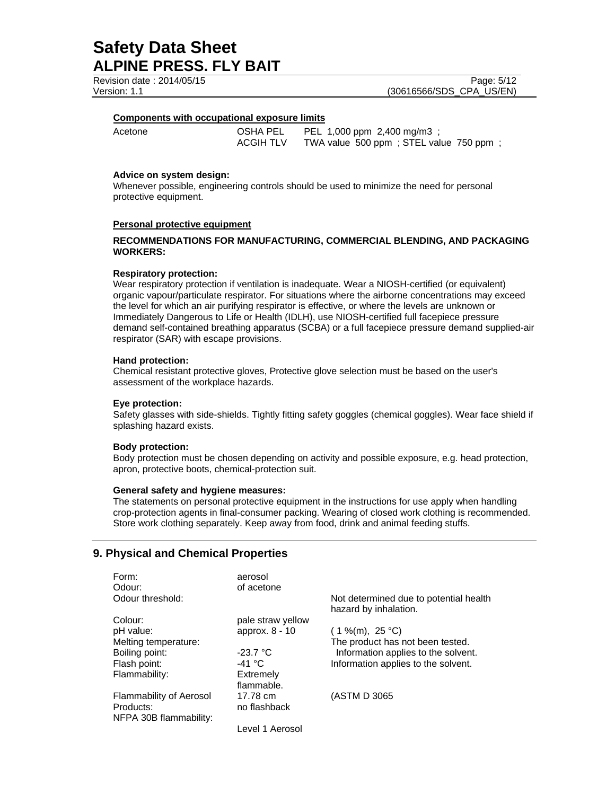Revision date : 2014/05/15 Version: 1.1 (30616566/SDS\_CPA\_US/EN)

#### **Components with occupational exposure limits**

Acetone **OSHA PEL** PEL 1,000 ppm 2,400 mg/m3 ; ACGIH TLV TWA value 500 ppm ; STEL value 750 ppm ;

### **Advice on system design:**

Whenever possible, engineering controls should be used to minimize the need for personal protective equipment.

### **Personal protective equipment**

## **RECOMMENDATIONS FOR MANUFACTURING, COMMERCIAL BLENDING, AND PACKAGING WORKERS:**

#### **Respiratory protection:**

Wear respiratory protection if ventilation is inadequate. Wear a NIOSH-certified (or equivalent) organic vapour/particulate respirator. For situations where the airborne concentrations may exceed the level for which an air purifying respirator is effective, or where the levels are unknown or Immediately Dangerous to Life or Health (IDLH), use NIOSH-certified full facepiece pressure demand self-contained breathing apparatus (SCBA) or a full facepiece pressure demand supplied-air respirator (SAR) with escape provisions.

### **Hand protection:**

Chemical resistant protective gloves, Protective glove selection must be based on the user's assessment of the workplace hazards.

#### **Eye protection:**

Safety glasses with side-shields. Tightly fitting safety goggles (chemical goggles). Wear face shield if splashing hazard exists.

#### **Body protection:**

Body protection must be chosen depending on activity and possible exposure, e.g. head protection, apron, protective boots, chemical-protection suit.

#### **General safety and hygiene measures:**

The statements on personal protective equipment in the instructions for use apply when handling crop-protection agents in final-consumer packing. Wearing of closed work clothing is recommended. Store work clothing separately. Keep away from food, drink and animal feeding stuffs.

## **9. Physical and Chemical Properties**

| Form:<br>Odour:                | aerosol<br>of acetone |                                                                 |
|--------------------------------|-----------------------|-----------------------------------------------------------------|
| Odour threshold:               |                       | Not determined due to potential health<br>hazard by inhalation. |
| Colour:                        | pale straw yellow     |                                                                 |
| pH value:                      | approx. 8 - 10        | $(1\%$ (m), 25 °C)                                              |
| Melting temperature:           |                       | The product has not been tested.                                |
| Boiling point:                 | $-23.7 °C$            | Information applies to the solvent.                             |
| Flash point:                   | -41 °C                | Information applies to the solvent.                             |
| Flammability:                  | Extremely             |                                                                 |
|                                | flammable.            |                                                                 |
| <b>Flammability of Aerosol</b> | 17.78 cm              | (ASTM D 3065)                                                   |
| Products:                      | no flashback          |                                                                 |
| NFPA 30B flammability:         |                       |                                                                 |
|                                | Level 1 Aerosol       |                                                                 |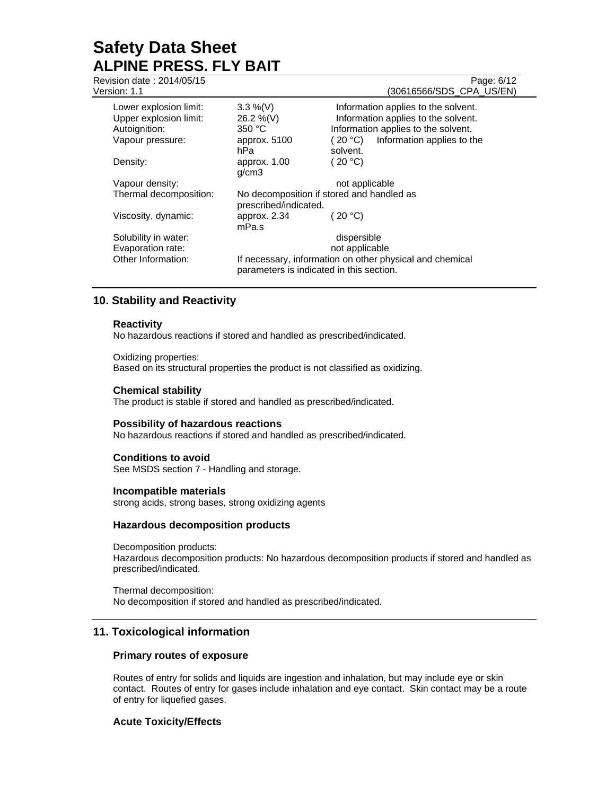|                         |                | Page: 6/12<br>(30616566/SDS CPA US/EN)                                                                                                                                     |
|-------------------------|----------------|----------------------------------------------------------------------------------------------------------------------------------------------------------------------------|
| $3.3\%$ (V)             |                | Information applies to the solvent.                                                                                                                                        |
| 26.2 %(V)               |                | Information applies to the solvent.                                                                                                                                        |
| 350 °C                  |                | Information applies to the solvent.                                                                                                                                        |
| approx. 5100            | (20 °C)        | Information applies to the                                                                                                                                                 |
| hPa.                    | solvent.       |                                                                                                                                                                            |
| approx. 1.00<br>g/cm3   | (20 °C)        |                                                                                                                                                                            |
|                         | not applicable |                                                                                                                                                                            |
|                         |                |                                                                                                                                                                            |
| approx. $2.34$<br>mPa.s | (20 °C)        |                                                                                                                                                                            |
|                         | dispersible    |                                                                                                                                                                            |
|                         | not applicable |                                                                                                                                                                            |
|                         |                |                                                                                                                                                                            |
|                         |                | No decomposition if stored and handled as<br>prescribed/indicated.<br>If necessary, information on other physical and chemical<br>parameters is indicated in this section. |

## **10. Stability and Reactivity**

## **Reactivity**

No hazardous reactions if stored and handled as prescribed/indicated.

Oxidizing properties: Based on its structural properties the product is not classified as oxidizing.

## **Chemical stability**

The product is stable if stored and handled as prescribed/indicated.

### **Possibility of hazardous reactions**

No hazardous reactions if stored and handled as prescribed/indicated.

## **Conditions to avoid**

See MSDS section 7 - Handling and storage.

#### **Incompatible materials**

strong acids, strong bases, strong oxidizing agents

## **Hazardous decomposition products**

Decomposition products: Hazardous decomposition products: No hazardous decomposition products if stored and handled as prescribed/indicated.

Thermal decomposition: No decomposition if stored and handled as prescribed/indicated.

## **11. Toxicological information**

## **Primary routes of exposure**

Routes of entry for solids and liquids are ingestion and inhalation, but may include eye or skin contact. Routes of entry for gases include inhalation and eye contact. Skin contact may be a route of entry for liquefied gases.

## **Acute Toxicity/Effects**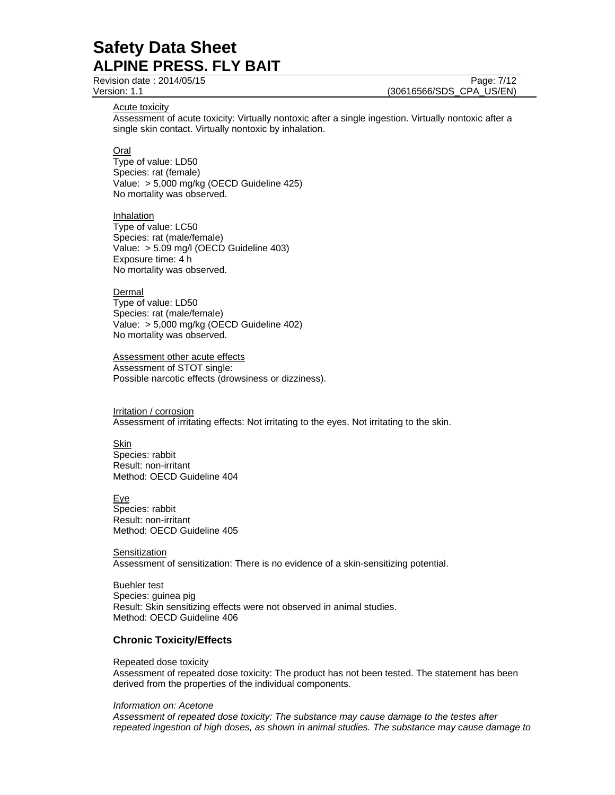Revision date : 2014/05/15 Page: 7/12

Version: 1.1 (30616566/SDS\_CPA\_US/EN)

Acute toxicity

Assessment of acute toxicity: Virtually nontoxic after a single ingestion. Virtually nontoxic after a single skin contact. Virtually nontoxic by inhalation.

Oral

Type of value: LD50 Species: rat (female) Value: > 5,000 mg/kg (OECD Guideline 425) No mortality was observed.

**Inhalation** Type of value: LC50 Species: rat (male/female) Value: > 5.09 mg/l (OECD Guideline 403) Exposure time: 4 h No mortality was observed.

**Dermal** 

Type of value: LD50 Species: rat (male/female) Value: > 5,000 mg/kg (OECD Guideline 402) No mortality was observed.

Assessment other acute effects Assessment of STOT single: Possible narcotic effects (drowsiness or dizziness).

Irritation / corrosion Assessment of irritating effects: Not irritating to the eyes. Not irritating to the skin.

**Skin** Species: rabbit Result: non-irritant Method: OECD Guideline 404

Eye Species: rabbit Result: non-irritant Method: OECD Guideline 405

**Sensitization** Assessment of sensitization: There is no evidence of a skin-sensitizing potential.

Buehler test Species: guinea pig Result: Skin sensitizing effects were not observed in animal studies. Method: OECD Guideline 406

## **Chronic Toxicity/Effects**

#### Repeated dose toxicity

Assessment of repeated dose toxicity: The product has not been tested. The statement has been derived from the properties of the individual components.

#### *Information on: Acetone*

*Assessment of repeated dose toxicity: The substance may cause damage to the testes after repeated ingestion of high doses, as shown in animal studies. The substance may cause damage to*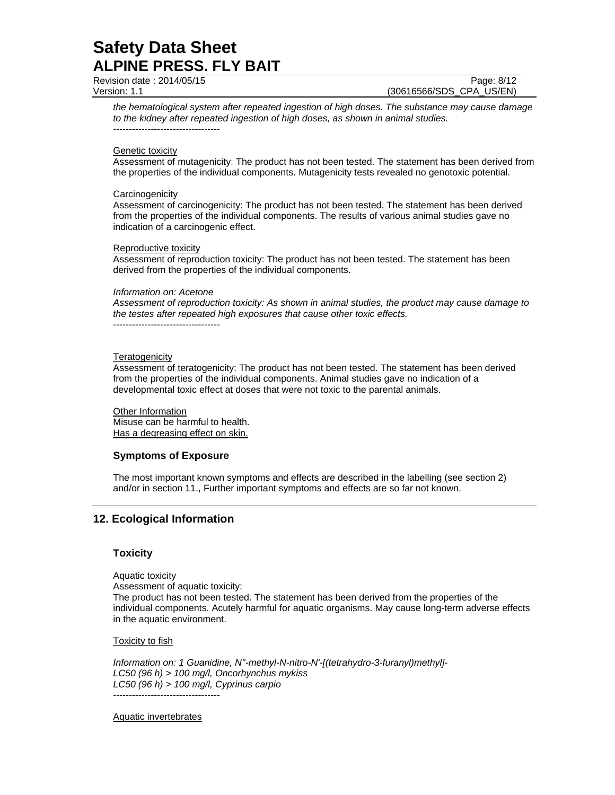Revision date : 2014/05/15 Page: 8/12

Version: 1.1 (30616566/SDS\_CPA\_US/EN)

*the hematological system after repeated ingestion of high doses. The substance may cause damage to the kidney after repeated ingestion of high doses, as shown in animal studies.*  ----------------------------------

### Genetic toxicity

Assessment of mutagenicity: The product has not been tested. The statement has been derived from the properties of the individual components. Mutagenicity tests revealed no genotoxic potential.

#### **Carcinogenicity**

Assessment of carcinogenicity: The product has not been tested. The statement has been derived from the properties of the individual components. The results of various animal studies gave no indication of a carcinogenic effect.

### Reproductive toxicity

Assessment of reproduction toxicity: The product has not been tested. The statement has been derived from the properties of the individual components.

#### *Information on: Acetone*

*Assessment of reproduction toxicity: As shown in animal studies, the product may cause damage to the testes after repeated high exposures that cause other toxic effects.* 

----------------------------------

### **Teratogenicity**

Assessment of teratogenicity: The product has not been tested. The statement has been derived from the properties of the individual components. Animal studies gave no indication of a developmental toxic effect at doses that were not toxic to the parental animals.

Other Information Misuse can be harmful to health. Has a degreasing effect on skin.

## **Symptoms of Exposure**

The most important known symptoms and effects are described in the labelling (see section 2) and/or in section 11., Further important symptoms and effects are so far not known.

## **12. Ecological Information**

## **Toxicity**

Aquatic toxicity

Assessment of aquatic toxicity: The product has not been tested. The statement has been derived from the properties of the individual components. Acutely harmful for aquatic organisms. May cause long-term adverse effects in the aquatic environment.

#### **Toxicity to fish**

*Information on: 1 Guanidine, N''-methyl-N-nitro-N'-[(tetrahydro-3-furanyl)methyl]- LC50 (96 h) > 100 mg/l, Oncorhynchus mykiss LC50 (96 h) > 100 mg/l, Cyprinus carpio*  ----------------------------------

Aquatic invertebrates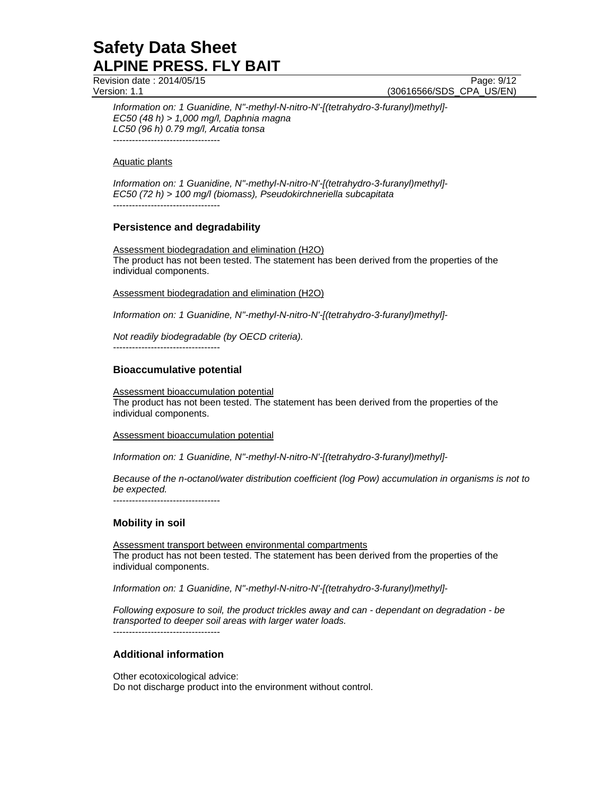Revision date : 2014/05/15 Page: 9/12

Version: 1.1 (30616566/SDS\_CPA\_US/EN)

*Information on: 1 Guanidine, N''-methyl-N-nitro-N'-[(tetrahydro-3-furanyl)methyl]- EC50 (48 h) > 1,000 mg/l, Daphnia magna LC50 (96 h) 0.79 mg/l, Arcatia tonsa*  ----------------------------------

Aquatic plants

*Information on: 1 Guanidine, N''-methyl-N-nitro-N'-[(tetrahydro-3-furanyl)methyl]- EC50 (72 h) > 100 mg/l (biomass), Pseudokirchneriella subcapitata*  ----------------------------------

## **Persistence and degradability**

Assessment biodegradation and elimination (H2O) The product has not been tested. The statement has been derived from the properties of the individual components.

Assessment biodegradation and elimination (H2O)

*Information on: 1 Guanidine, N''-methyl-N-nitro-N'-[(tetrahydro-3-furanyl)methyl]-* 

*Not readily biodegradable (by OECD criteria).* 

----------------------------------

## **Bioaccumulative potential**

Assessment bioaccumulation potential The product has not been tested. The statement has been derived from the properties of the individual components.

Assessment bioaccumulation potential

*Information on: 1 Guanidine, N''-methyl-N-nitro-N'-[(tetrahydro-3-furanyl)methyl]-* 

*Because of the n-octanol/water distribution coefficient (log Pow) accumulation in organisms is not to be expected.* 

----------------------------------

## **Mobility in soil**

Assessment transport between environmental compartments The product has not been tested. The statement has been derived from the properties of the individual components.

*Information on: 1 Guanidine, N''-methyl-N-nitro-N'-[(tetrahydro-3-furanyl)methyl]-* 

*Following exposure to soil, the product trickles away and can - dependant on degradation - be transported to deeper soil areas with larger water loads.*

----------------------------------

## **Additional information**

Other ecotoxicological advice: Do not discharge product into the environment without control.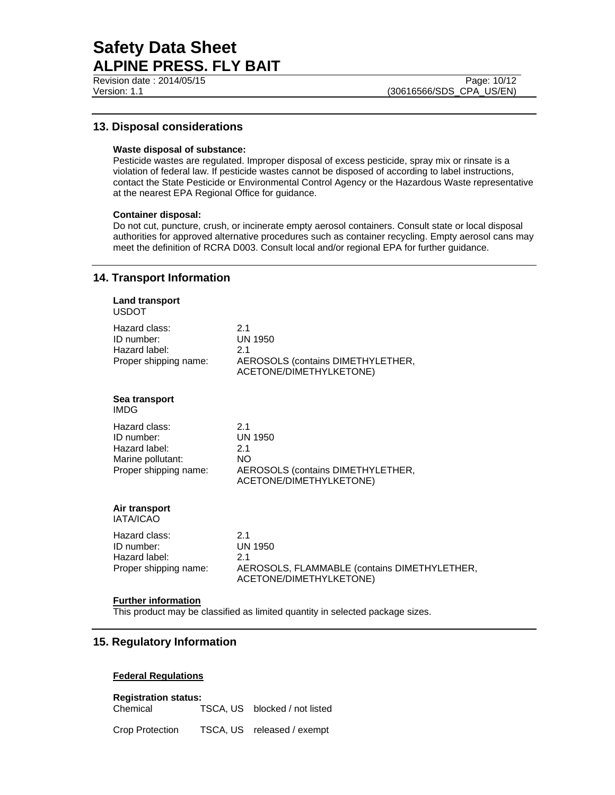## **13. Disposal considerations**

### **Waste disposal of substance:**

Pesticide wastes are regulated. Improper disposal of excess pesticide, spray mix or rinsate is a violation of federal law. If pesticide wastes cannot be disposed of according to label instructions, contact the State Pesticide or Environmental Control Agency or the Hazardous Waste representative at the nearest EPA Regional Office for guidance.

## **Container disposal:**

Do not cut, puncture, crush, or incinerate empty aerosol containers. Consult state or local disposal authorities for approved alternative procedures such as container recycling. Empty aerosol cans may meet the definition of RCRA D003. Consult local and/or regional EPA for further guidance.

## **14. Transport Information**

| <b>Land transport</b><br><b>USDOT</b>                                                      |                                                                                                           |
|--------------------------------------------------------------------------------------------|-----------------------------------------------------------------------------------------------------------|
| Hazard class:<br>ID number:<br>Hazard label:<br>Proper shipping name:                      | 2.1<br><b>UN 1950</b><br>2.1<br>AEROSOLS (contains DIMETHYLETHER,<br>ACETONE/DIMETHYLKETONE)              |
| Sea transport<br><b>IMDG</b>                                                               |                                                                                                           |
| Hazard class:<br>ID number:<br>Hazard label:<br>Marine pollutant:<br>Proper shipping name: | 2.1<br><b>UN 1950</b><br>2.1<br><b>NO</b><br>AEROSOLS (contains DIMETHYLETHER,<br>ACETONE/DIMETHYLKETONE) |
| Air transport<br>IATA/ICAO                                                                 |                                                                                                           |
| Hazard class:<br>ID number:<br>Hazard label:<br>Proper shipping name:                      | 2.1<br><b>UN 1950</b><br>2.1<br>AEROSOLS, FLAMMABLE (contains DIMETHYLETHER,<br>ACETONE/DIMETHYLKETONE)   |
| والقصاصين والقميل مرجوليا فسيحا                                                            |                                                                                                           |

#### **Further information**

This product may be classified as limited quantity in selected package sizes.

## **15. Regulatory Information**

## **Federal Regulations**

**Registration status:**  Chemical TSCA, US blocked / not listed

Crop Protection TSCA, US released / exempt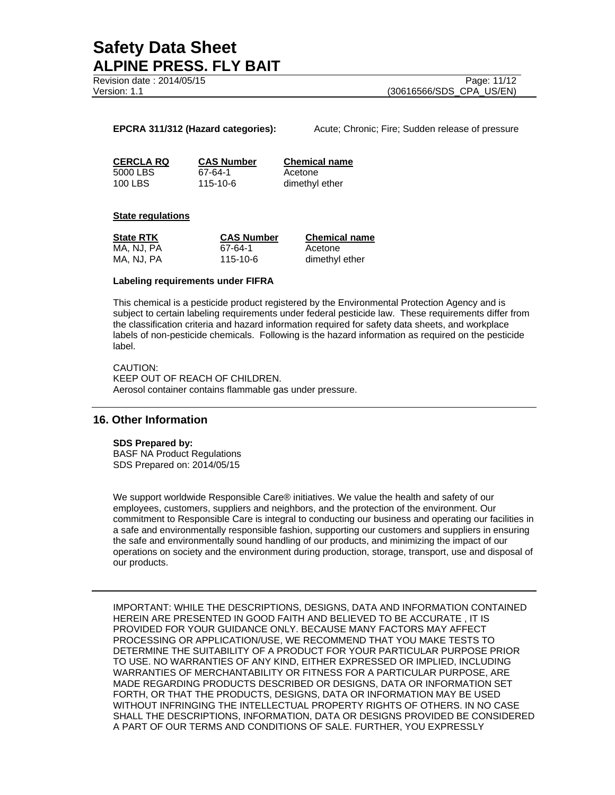Revision date : 2014/05/15 Page: 11/12

Version: 1.1 (30616566/SDS\_CPA\_US/EN)

**EPCRA 311/312 (Hazard categories):** Acute; Chronic; Fire; Sudden release of pressure

5000 LBS 67-64-1 Acetone 100 LBS 115-10-6 dimethyl ether

**CERCLA RQ CAS Number Chemical name**

#### **State regulations**

| <b>State RTK</b> | <b>CAS Number</b> | <b>Chemical name</b> |
|------------------|-------------------|----------------------|
| MA, NJ, PA       | 67-64-1           | Acetone              |
| MA, NJ, PA       | 115-10-6          | dimethyl ether       |

### **Labeling requirements under FIFRA**

This chemical is a pesticide product registered by the Environmental Protection Agency and is subject to certain labeling requirements under federal pesticide law. These requirements differ from the classification criteria and hazard information required for safety data sheets, and workplace labels of non-pesticide chemicals. Following is the hazard information as required on the pesticide label.

CAUTION: KEEP OUT OF REACH OF CHILDREN. Aerosol container contains flammable gas under pressure.

## **16. Other Information**

#### **SDS Prepared by:**

BASF NA Product Regulations SDS Prepared on: 2014/05/15

We support worldwide Responsible Care® initiatives. We value the health and safety of our employees, customers, suppliers and neighbors, and the protection of the environment. Our commitment to Responsible Care is integral to conducting our business and operating our facilities in a safe and environmentally responsible fashion, supporting our customers and suppliers in ensuring the safe and environmentally sound handling of our products, and minimizing the impact of our operations on society and the environment during production, storage, transport, use and disposal of our products.

IMPORTANT: WHILE THE DESCRIPTIONS, DESIGNS, DATA AND INFORMATION CONTAINED HEREIN ARE PRESENTED IN GOOD FAITH AND BELIEVED TO BE ACCURATE , IT IS PROVIDED FOR YOUR GUIDANCE ONLY. BECAUSE MANY FACTORS MAY AFFECT PROCESSING OR APPLICATION/USE, WE RECOMMEND THAT YOU MAKE TESTS TO DETERMINE THE SUITABILITY OF A PRODUCT FOR YOUR PARTICULAR PURPOSE PRIOR TO USE. NO WARRANTIES OF ANY KIND, EITHER EXPRESSED OR IMPLIED, INCLUDING WARRANTIES OF MERCHANTABILITY OR FITNESS FOR A PARTICULAR PURPOSE, ARE MADE REGARDING PRODUCTS DESCRIBED OR DESIGNS, DATA OR INFORMATION SET FORTH, OR THAT THE PRODUCTS, DESIGNS, DATA OR INFORMATION MAY BE USED WITHOUT INFRINGING THE INTELLECTUAL PROPERTY RIGHTS OF OTHERS. IN NO CASE SHALL THE DESCRIPTIONS, INFORMATION, DATA OR DESIGNS PROVIDED BE CONSIDERED A PART OF OUR TERMS AND CONDITIONS OF SALE. FURTHER, YOU EXPRESSLY